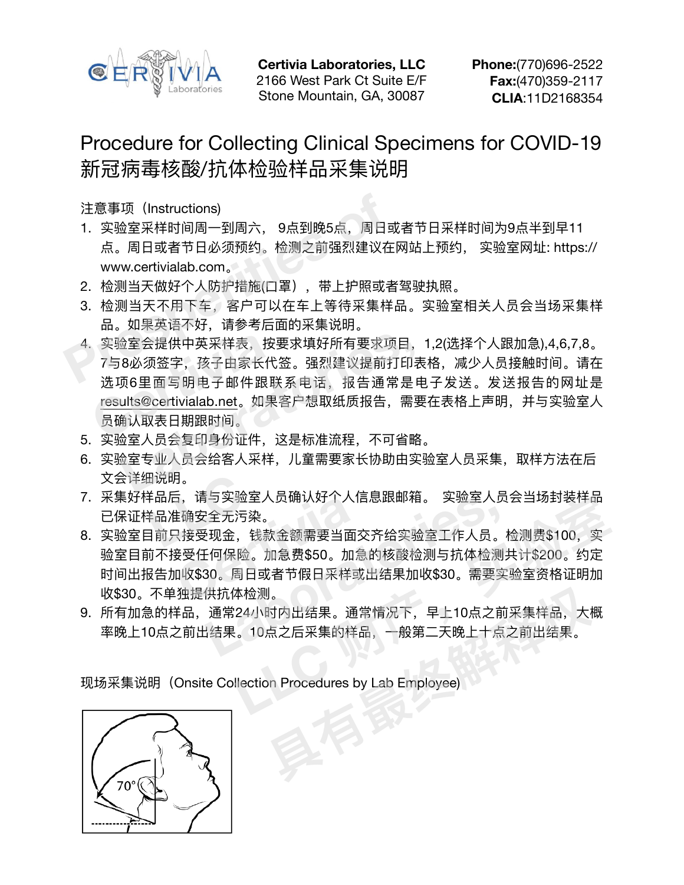

**Certivia Laboratories, LLC**  2166 West Park Ct Suite E/F Stone Mountain, GA, 30087

**Phone:**(770)696-2522 **Fax:**(470)359-2117 **CLIA**:11D2168354

## Procedure for Collecting Clinical Specimens for COVID-19 新冠病毒核酸/抗体检验样品采集说明

注意事项 (Instructions)

- 1. 实验室采样时间周一到周六, 9点到晚5点,周日或者节日采样时间为9点半到早11 点。周日或者节日必须预约。检测之前强烈建议在网站上预约, 实验室网址: https:// www.certivialab.com。 注意事项(Instructions)<br>1.实验室采样时间周一到周六, 9点到晚5点,周日或点。周日或者节日必须预约。检测之前强烈建议在<br>www.certivialab.com。<br>2.检测当天做好个人防护措施(口罩),带上护照或者<br>3.检测当天不用下车,客户可以在车上等待采集样品<br>品。如果英语不好,请参考后面的采集说明。<br>品。如果英语不好,请参考后面的采集说明。<br>4.实验室会提供中英采样表,按要求填好所有要求项<br>7与8必须签字,孩子由家长代
	- 2. 检测当天做好个人防护措施(口罩), 带上护照或者驾驶执照。
	- 3. 检测当天不用下车, 客户可以在车上等待采集样品。实验室相关人员会当场采集样 品。如果英语不好,请参考后⾯的采集说明。
	- 4. 实验室会提供中英采样表,按要求填好所有要求项目,1,2(选择个人跟加急),4,6,7,8。 7与8必须签字,孩子由家长代签。强烈建议提前打印表格,减少人员接触时间。请在 选项6里面写明电子邮件跟联系电话,报告通常是电子发送。发送报告的网址是 results@certivialab.net。如果客户想取纸质报告,需要在表格上声明,并与实验室⼈ 员确认取表日期跟时间。 实验室会提供中英采样表,按引<br>7与8必须签字,孩子由家长代<br>选项6里面写明电子邮件跟联<br><u>results@certivialab.net</u>。如果<br>员确认取表日期跟时间。 金室会提供中英采样表,按要求填好所有要求项目,1<br>8必须签字,孩子由家长代签。强烈建议提前打印表<sup>;</sup><br>页6里面写明电子邮件跟联系电话,报告通常是 电<br><u>ults@certivialab.net</u>。如果客户想取纸质报告,需要<sup>;</sup><br>A认取表日期跟时间。<br>金室大员会给客人采样,儿童需要家长协助由实验<br>金室专业人员会给客人采样,儿童需要家长协助由实验<br>全室专业人员会给客人采样,儿童需要家长协助由实验
	- 5. 实验室人员会复印身份证件,这是标准流程,不可省略。
	- 6. 实验室专业人员会给客人采样, 儿童需要家长协助由实验室人员采集, 取样方法在后 ⽂会详细说明。
	- 7.采集好样品后,请与实验室人员确认好个人信息跟邮箱。 实验室人员会当场封装样品 已保证样品准确安全无污染。 <sup>田说明</sup>。<br>样品后,请与实验室<br>样品准确安全无污染<br>目前只接受现金,钱
	- 8. 实验室目前只接受现金,钱款金额需要当面交齐给实验室工作人员。检测费\$100,实 验室目前不接受任何保险。加急费\$50。加急的核酸检测与抗体检测共计\$200。约定 时间出报告加收\$30。周日或者节假日采样或出结果加收\$30。需要实验室资格证明加 收\$30。不单独提供抗体检测。 **Certivia**  『<sup>ラ头</sup>經至入贝堋认好个入信息跟邮相。 头验至入贝?<br>『全无污染。<br>『现金,钱款金额需要当面交齐给实验室工作人员。<br><br><br>I何保险。加急费\$50。加急的核酸检测与抗体检测共<br>30。周日或者节假日采样或出结果加收\$30。需要实?<br>供抗体检测。<br>通常24小时内出结果。通常情况下,早上10点之前?<br>「结果。10点之后采集的样品,一般第二天晚上十点之 验室人员确认好个人信息跟邮箱。 实验室人员会当场封装样品<br>污染。<br>污染。<br>,钱款金额需要当面交齐给实验室工作人员。检测费\$100,实<br>险。加急费\$50。加急的核酸检测与抗体检测共计\$200。约定<br>周日或者节假日采样或出结果加收\$30。需要实验室资格证明加<br>44小时内出结果。通常情况下,早上10点之前采集样品,大概<br>。10点之后采集的样品,一般第二天晚上十点之前出结果。<br>。10点之后采集的样品,一般第二天晚上十点之前出结果。<br>llectio
	- 9. 所有加急的样品,通常24小时内出结果。通常情况下,早上10点之前采集样品,大概 率晚上10点之前出结果。10点之后采集的样品,一般第二天晚上十点之前出结果。 **具有最终解释权**

现场采集说明(Onsite Collection Procedures by Lab Employee)

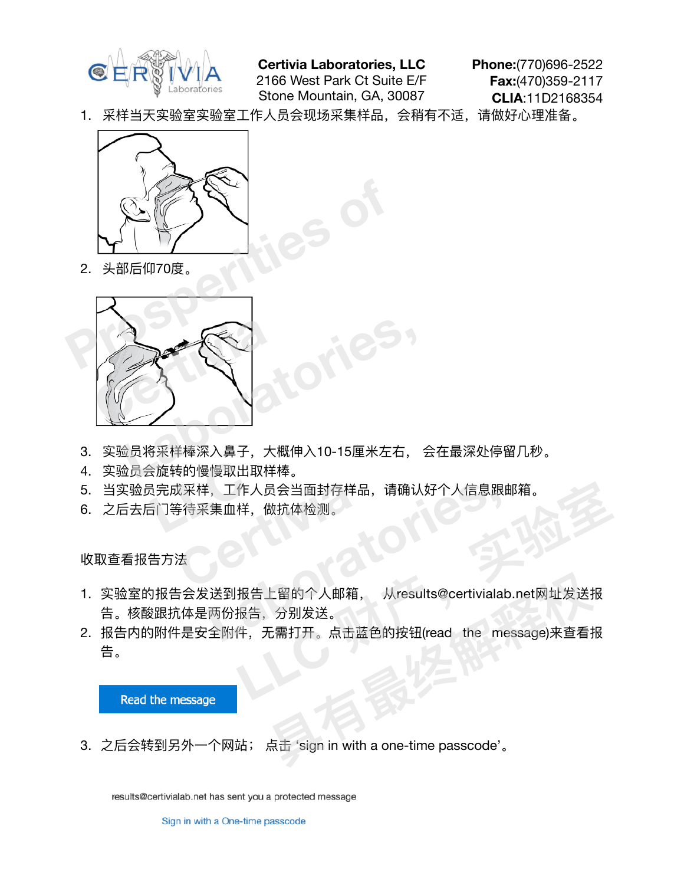

**Certivia Laboratories, LLC**  2166 West Park Ct Suite E/F Stone Mountain, GA, 30087

 $\tilde{\mathbf{r}}$  ress

**Phone:**(770)696-2522 **Fax:**(470)359-2117 **CLIA**:11D2168354

1. 采样当天实验室实验室工作人员会现场采集样品, 会稍有不适, 请做好心理准备。



2. 头部后仰70度。



- 3. 实验员将采样棒深入鼻子,大概伸入10-15厘米左右, 会在最深处停留几秒。
- 4. 实验员会旋转的慢慢取出取样棒。 s旋转的慢慢取出取<br>引完成采样,工作人<br>5门等待采集血样,
- 5. 当实验员完成采样, 工作人员会当面封存样品,请确认好个人信息跟邮箱。 龙采样,工作人员会当面封存样品<br><sup>李</sup>待采集血样,做抗体检测。<br>法
- 6. 之后去后⻔等待采集⾎样,做抗体检测。

收取查看报告方法

- 1. 实验室的报告会发送到报告上留的个人邮箱, 从results@certivialab.net网址发送报 告。核酸跟抗体是两份报告,分别发送。 i,工作人员会当面封存样品,请确认好个人信息跟邮<br>《集血样,做抗体检测。<br><br>这到报告上留的个人邮箱, 从results@certivialab.<br>两份报告,分别发送。<br>全附件,无需打开。点击蓝色的按钮(read the mes 一个人员会当面封存样品,请确认好个人信息跟邮箱。<br>样,做抗体检测。<br>様告上留的个人邮箱, 从results@certivialab.net网址发送报<br>报告,分别发送。<br>报告,分别发送。<br>件,无需打开。点击蓝色的按钮(read the message)来查看报 上留的个人邮箱, 从results@certivialab.net网址发送扎<br>分别发送。<br><br><br><br><br><br>点击 'sign in with a one-time passcode'。
- 2. 报告内的附件是安全附件, 无需打开。点击蓝色的按钮(read the message)来查看报 告。

Read the message

3. 之后会转到另外一个网站; 点击 'sign in with a one-time passcode'。

results@certivialab.net has sent you a protected message